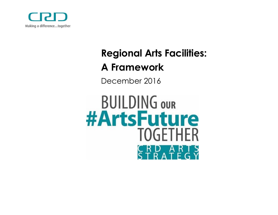

# **Regional Arts Facilities:**

## **A Framework**

December 2016

**BUILDING OUR #ArtsFuture TOGFTHER**  $\overline{A}$  $\mathbf{R}$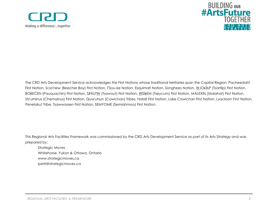



The CRD Arts Development Service acknowledges the First Nations whose traditional territories span the Capital Region: Pacheedaht First Nation, Scia'new (Beecher Bay) First Nation, T'Sou-ke Nation, Esquimalt Nation, Songhees Nation, WJOŁEŁP (Tsartlip) First Nation, BOKEĆEN (Pauquachin) First Nation, STÁUTW (Tsawout) First Nation, WSÍKEM (Tseycum) First Nation, MÁLEXEŁ (Malahat) First Nation, Stz'uminus (Chemainus) First Nation, Quw'utsun (Cowichan) Tribes, Halalt First Nation, Lake Cowichan First Nation, Lyackson First Nation, Penelakut Tribe, Tsawwassen First Nation, SEMYOME (Semiahmoo) First Nation.

This Regional Arts Facilities Framework was commissioned by the CRD Arts Development Service as part of its Arts Strategy and was prepared by:

Strategic Moves Whitehorse, Yukon & Ottawa, Ontario www.strategicmoves.ca ipetri@strategicmoves.ca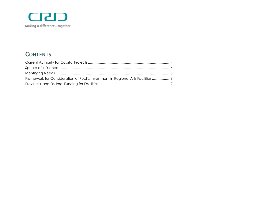

### **CONTENTS**

| Framework for Consideration of Public Investment in Regional Arts Facilities |  |
|------------------------------------------------------------------------------|--|
|                                                                              |  |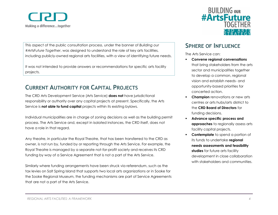

This aspect of the public consultation process, under the banner of *Building our #ArtsFuture Together*, was designed to understand the role of key arts facilities, including publicly-owned regional arts facilities, with a view of identifying future needs.

It was not intended to provide answers or recommendations for specific arts facility projects.

#### <span id="page-3-0"></span>**CURRENT AUTHORITY FOR CAPITAL PROJECTS**

The CRD Arts Development Service (Arts Service) **does not** have jurisdictional responsibility or authority over any capital projects at present. Specifically, the Arts Service is **not able to fund capital** projects within its existing bylaws.

Individual municipalities are in charge of zoning decisions as well as the building permit process. The Arts Service and, except in isolated instances, the CRD itself, does not have a role in that regard.

Any theatre, in particular the Royal Theatre, that has been transferred to the CRD as owner, is not run by, funded by or reporting through the Arts Service. For example, the Royal Theatre is managed by a separate not-for-profit society and receives its CRD funding by way of a Service Agreement that is not a part of the Arts Service.

Similarly where funding arrangements have been struck via referendum, such as the tax levies on Salt Spring Island that supports two local arts organizations or in Sooke for the Sooke Regional Museum, the funding mechanisms are part of Service Agreements that are not a part of the Arts Service.



#### <span id="page-3-1"></span>**SPHERE OF INFLUENCE**

The Arts Service can:

- **Convene regional conversations** that bring stakeholders from the arts sector and municipalities together to develop a common, regional vision and establish needs- and opportunity-based priorities for concerted action.
- **Champion** renovations or new arts centres or arts hubs/arts district to the **CRD Board of Directors** for funding decisions.
- **Advance specific process and approaches** to regionally assess arts facility capital projects.
- **Contemplate** to spend a portion of its funds to undertake **regional needs assessments and feasibility**  studies for future arts facility development in close collaboration with stakeholders and communities.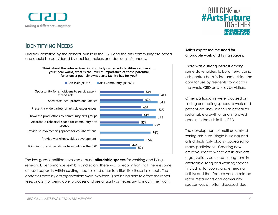

#### <span id="page-4-0"></span>**IDENTIFYING NEEDS**

Priorities identified by the general public in the CRD and the arts community are broad and should be considered by decision-makers and decision influencers.

> **Think about the roles or functions publicly owned arts facilities can have. In your ideal world, what is the level of importance of these potential functions a publicly owned arts facility has for you?**



The key gaps identified revolved around **affordable spaces** for working and living, rehearsal, performance, exhibits and so on. There was a recognition that there is some unused capacity within existing theatres and other facilities, like those in schools. The obstacles cited by arts organizations were two-fold: 1) not being able to afford the rental fees, and 2) not being able to access and use a facility as necessary to mount their work.



#### **Artists expressed the need for affordable work and living spaces.**

There was a strong interest among some stakeholders to build new, iconic arts centres both inside and outside the core for use by residents from across the whole CRD as well as by visitors.

Other participants were focussed on finding or creating spaces to work and present art. They see this as critical for sustainable growth of and improved access to the arts in the CRD.

The development of multi-use, mixed zoning arts hubs (single building) and arts districts (city blocks) appealed to many participants. Creating new creative spaces where artists and arts organizations can locate long-term in affordable living and working spaces (including for young and emerging artists) and that feature various related retail, restaurants and community spaces was an often discussed idea.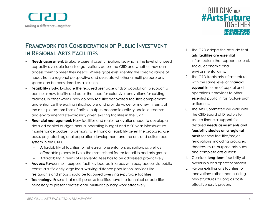

#### <span id="page-5-0"></span>**FRAMEWORK FOR CONSIDERATION OF PUBLIC INVESTMENT IN REGIONAL ARTS FACILITIES**

- **Needs assessment**: Evaluate current asset utilization, i.e. what is the level of unused capacity available for arts organizations across the CRD and whether they can access them to meet their needs. Where gaps exist, identify the specific range of needs from a regional perspective and evaluate whether a multi-purpose arts space can be considered as a solution.
- **Feasibility study**: Evaluate the required user base and/or population to support a particular new facility desired or the need for extensive renovations for existing facilities. In other words, how do new facilities/renovated facilities complement and enhance the existing infrastructure and provide value for money in terms of the multiple bottom lines of artistic output, economic activity, social outcomes, and environmental stewardship, given existing facilities in the CRD.
- **Financial management:** New facilities and major renovations need to develop a detailed capital budget, annual operating budget and a 20-year infrastructure maintenance budget to demonstrate financial feasibility given the proposed user base, projected regional population development and the arts and culture ecosystem in the CRD.
	- Affordability of facilities for rehearsal, presentation, exhibition, as well as affordable places to live is the most critical factor for artists and arts groups.
	- Affordability in terms of user/rental fees has to be addressed pro-actively.
- **Access:** Favour multi-purpose facilities located in areas with easy access via public transit, a sufficiently large local walking distance population, services like restaurants and shops should be favoured over single-purpose facilities.
- **Technology:** Ensure that multi-purpose facilities have the technical capabilities necessary to present professional, multi-disciplinary work effectively.



- 1. The CRD adopts the attitude that **arts facilities are essential** infrastructure that support cultural, social, economic and environmental aims.
- 2. The CRD treats arts infrastructure with the same level of **financial support** in terms of capital and operations it provides to other essential public infrastructure such as libraries.
- 3. The Arts Committee will work with the CRD Board of Directors to secure financial support for detailed **needs assessments and feasibility studies on a regional basis** for new facilities/major renovations, including proposed theatres, multi-purpose arts hubs and complete arts districts.
- 4. Consider **long-term** feasibility of ownership and operator models.
- 5. Favour **existing** arts facilities for renovations rather than building new structures as long as costeffectiveness is proven.